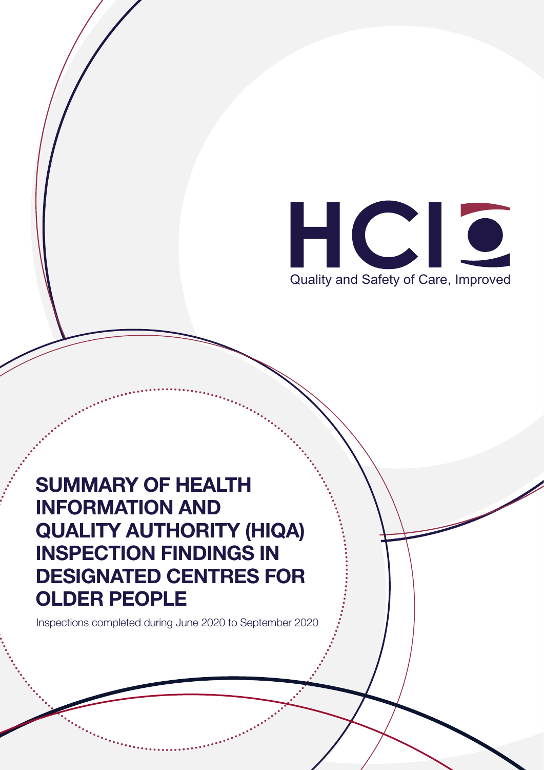HCIO Quality and Safety of Care, Improved

### SUMMARY OF HEALTH INFORMATION AND QUALITY AUTHORITY (HIQA) INSPECTION FINDINGS IN DESIGNATED CENTRES FOR OLDER PEOPLE

Inspections completed during June 2020 to September 2020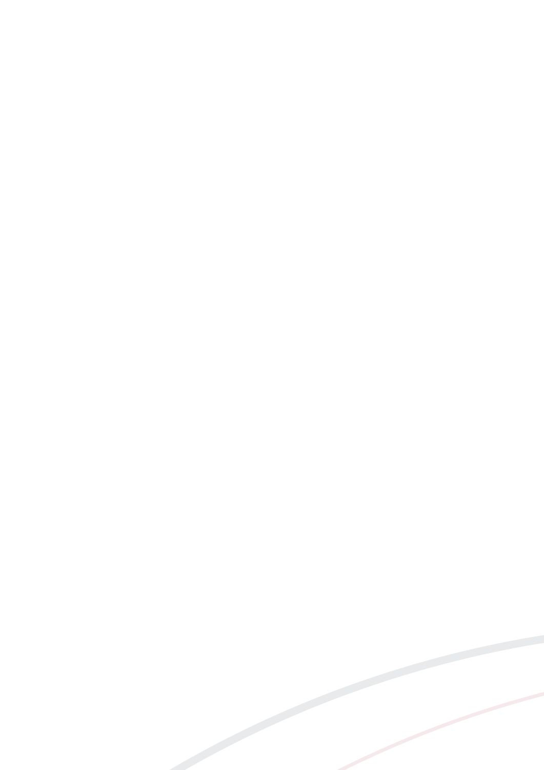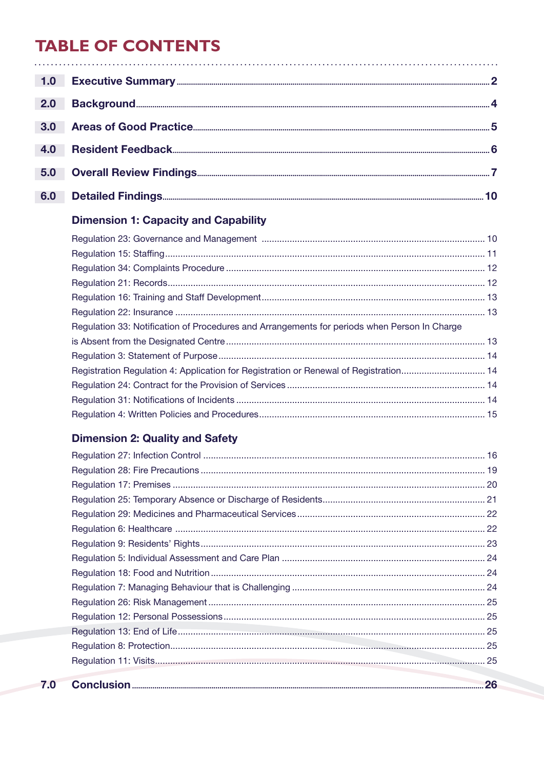### **TABLE OF CONTENTS**

| 2.0 |  |
|-----|--|
|     |  |
|     |  |
|     |  |
|     |  |
|     |  |

### **Dimension 1: Capacity and Capability**

| Regulation 33: Notification of Procedures and Arrangements for periods when Person In Charge |  |
|----------------------------------------------------------------------------------------------|--|
|                                                                                              |  |
|                                                                                              |  |
| Registration Regulation 4: Application for Registration or Renewal of Registration 14        |  |
|                                                                                              |  |
|                                                                                              |  |
|                                                                                              |  |
|                                                                                              |  |

### **Dimension 2: Quality and Safety**

| 7.0 | 26 |
|-----|----|
|     |    |
|     |    |
|     |    |
|     |    |
|     |    |
|     |    |
|     |    |
|     |    |
|     |    |
|     |    |
|     |    |
|     |    |
|     |    |
|     |    |
|     |    |
|     |    |
|     |    |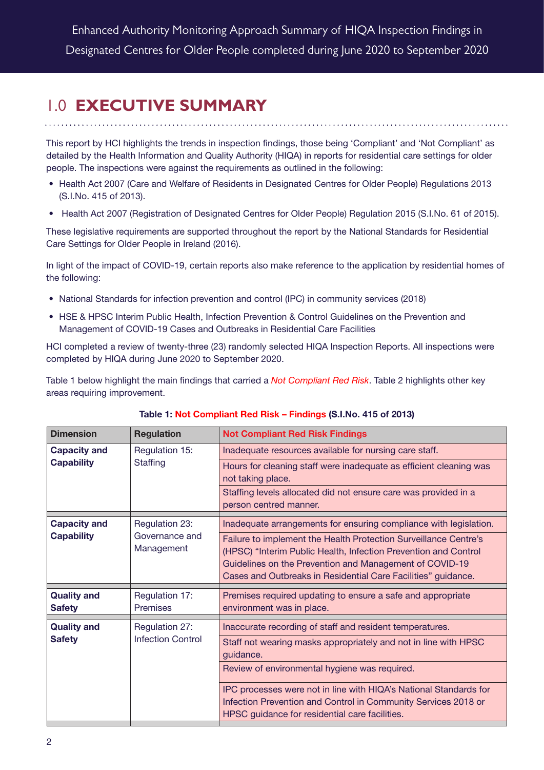### 1.0 **EXECUTIVE SUMMARY**

This report by HCI highlights the trends in inspection findings, those being 'Compliant' and 'Not Compliant' as detailed by the Health Information and Quality Authority (HIQA) in reports for residential care settings for older people. The inspections were against the requirements as outlined in the following:

- Health Act 2007 (Care and Welfare of Residents in Designated Centres for Older People) Regulations 2013 (S.I.No. 415 of 2013).
- Health Act 2007 (Registration of Designated Centres for Older People) Regulation 2015 (S.I.No. 61 of 2015).

These legislative requirements are supported throughout the report by the National Standards for Residential Care Settings for Older People in Ireland (2016).

In light of the impact of COVID-19, certain reports also make reference to the application by residential homes of the following:

- National Standards for infection prevention and control (IPC) in community services (2018)
- HSE & HPSC Interim Public Health, Infection Prevention & Control Guidelines on the Prevention and Management of COVID-19 Cases and Outbreaks in Residential Care Facilities

HCI completed a review of twenty-three (23) randomly selected HIQA Inspection Reports. All inspections were completed by HIQA during June 2020 to September 2020.

Table 1 below highlight the main findings that carried a *Not Compliant Red Risk*. Table 2 highlights other key areas requiring improvement.

| <b>Dimension</b>                    | <b>Regulation</b>            | <b>Not Compliant Red Risk Findings</b>                                                                                                                                                                                                                                                                                                                                                                                                                                                                                                                                                                                                                                                                                                                                                                                                                                                                              |  |  |  |  |  |  |
|-------------------------------------|------------------------------|---------------------------------------------------------------------------------------------------------------------------------------------------------------------------------------------------------------------------------------------------------------------------------------------------------------------------------------------------------------------------------------------------------------------------------------------------------------------------------------------------------------------------------------------------------------------------------------------------------------------------------------------------------------------------------------------------------------------------------------------------------------------------------------------------------------------------------------------------------------------------------------------------------------------|--|--|--|--|--|--|
| <b>Capacity and</b>                 | Regulation 15:               | Inadequate resources available for nursing care staff.                                                                                                                                                                                                                                                                                                                                                                                                                                                                                                                                                                                                                                                                                                                                                                                                                                                              |  |  |  |  |  |  |
| <b>Capability</b>                   | Staffing                     | Hours for cleaning staff were inadequate as efficient cleaning was<br>not taking place.                                                                                                                                                                                                                                                                                                                                                                                                                                                                                                                                                                                                                                                                                                                                                                                                                             |  |  |  |  |  |  |
|                                     |                              | Staffing levels allocated did not ensure care was provided in a<br>person centred manner.<br>Inadequate arrangements for ensuring compliance with legislation.<br>Failure to implement the Health Protection Surveillance Centre's<br>(HPSC) "Interim Public Health, Infection Prevention and Control<br>Guidelines on the Prevention and Management of COVID-19<br>Cases and Outbreaks in Residential Care Facilities" guidance.<br>Premises required updating to ensure a safe and appropriate<br>environment was in place.<br>Inaccurate recording of staff and resident temperatures.<br>Staff not wearing masks appropriately and not in line with HPSC<br>guidance.<br>Review of environmental hygiene was required.<br>IPC processes were not in line with HIQA's National Standards for<br>Infection Prevention and Control in Community Services 2018 or<br>HPSC guidance for residential care facilities. |  |  |  |  |  |  |
| <b>Capacity and</b>                 | Regulation 23:               |                                                                                                                                                                                                                                                                                                                                                                                                                                                                                                                                                                                                                                                                                                                                                                                                                                                                                                                     |  |  |  |  |  |  |
| <b>Capability</b>                   | Governance and<br>Management |                                                                                                                                                                                                                                                                                                                                                                                                                                                                                                                                                                                                                                                                                                                                                                                                                                                                                                                     |  |  |  |  |  |  |
| <b>Quality and</b><br><b>Safety</b> | Regulation 17:<br>Premises   |                                                                                                                                                                                                                                                                                                                                                                                                                                                                                                                                                                                                                                                                                                                                                                                                                                                                                                                     |  |  |  |  |  |  |
| <b>Quality and</b>                  | Regulation 27:               |                                                                                                                                                                                                                                                                                                                                                                                                                                                                                                                                                                                                                                                                                                                                                                                                                                                                                                                     |  |  |  |  |  |  |
| <b>Safety</b>                       | <b>Infection Control</b>     |                                                                                                                                                                                                                                                                                                                                                                                                                                                                                                                                                                                                                                                                                                                                                                                                                                                                                                                     |  |  |  |  |  |  |
|                                     |                              |                                                                                                                                                                                                                                                                                                                                                                                                                                                                                                                                                                                                                                                                                                                                                                                                                                                                                                                     |  |  |  |  |  |  |
|                                     |                              |                                                                                                                                                                                                                                                                                                                                                                                                                                                                                                                                                                                                                                                                                                                                                                                                                                                                                                                     |  |  |  |  |  |  |

### Table 1: Not Compliant Red Risk – Findings (S.I.No. 415 of 2013)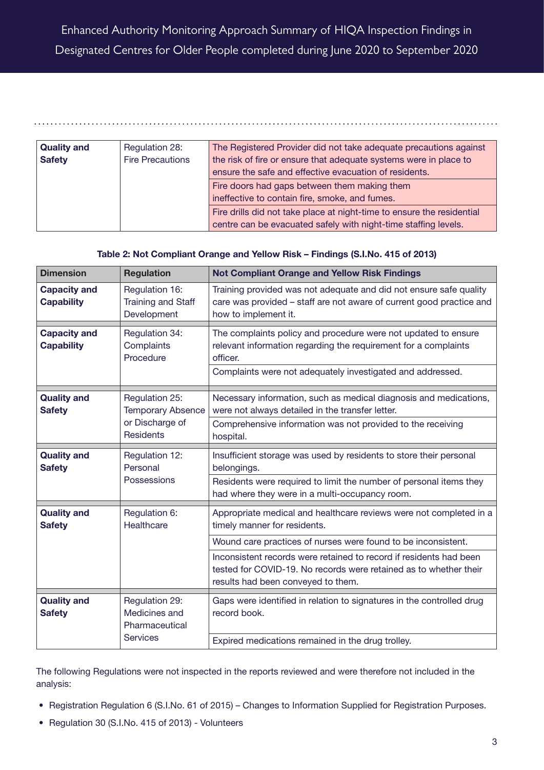Quality and **Safety** Regulation 28: Fire Precautions The Registered Provider did not take adequate precautions against the risk of fire or ensure that adequate systems were in place to ensure the safe and effective evacuation of residents. Fire doors had gaps between them making them ineffective to contain fire, smoke, and fumes. Fire drills did not take place at night-time to ensure the residential centre can be evacuated safely with night-time staffing levels.

### Table 2: Not Compliant Orange and Yellow Risk – Findings (S.I.No. 415 of 2013)

| <b>Dimension</b>                         | <b>Regulation</b>                                                          | <b>Not Compliant Orange and Yellow Risk Findings</b>                                                                                                                                                                                                                                                                                                 |  |  |  |  |  |  |  |
|------------------------------------------|----------------------------------------------------------------------------|------------------------------------------------------------------------------------------------------------------------------------------------------------------------------------------------------------------------------------------------------------------------------------------------------------------------------------------------------|--|--|--|--|--|--|--|
| <b>Capacity and</b><br><b>Capability</b> | Regulation 16:<br><b>Training and Staff</b><br>Development                 | Training provided was not adequate and did not ensure safe quality<br>care was provided - staff are not aware of current good practice and<br>how to implement it.                                                                                                                                                                                   |  |  |  |  |  |  |  |
| <b>Capacity and</b><br><b>Capability</b> | Regulation 34:<br>Complaints<br>Procedure                                  | The complaints policy and procedure were not updated to ensure<br>relevant information regarding the requirement for a complaints<br>officer.<br>Complaints were not adequately investigated and addressed.                                                                                                                                          |  |  |  |  |  |  |  |
| <b>Quality and</b><br><b>Safety</b>      | Regulation 25:<br><b>Temporary Absence</b><br>or Discharge of<br>Residents | Necessary information, such as medical diagnosis and medications,<br>were not always detailed in the transfer letter.<br>Comprehensive information was not provided to the receiving<br>hospital.                                                                                                                                                    |  |  |  |  |  |  |  |
| <b>Quality and</b><br><b>Safety</b>      | Regulation 12:<br>Personal<br>Possessions                                  | Insufficient storage was used by residents to store their personal<br>belongings.<br>Residents were required to limit the number of personal items they<br>had where they were in a multi-occupancy room.                                                                                                                                            |  |  |  |  |  |  |  |
| <b>Quality and</b><br><b>Safety</b>      | Regulation 6:<br>Healthcare                                                | Appropriate medical and healthcare reviews were not completed in a<br>timely manner for residents.<br>Wound care practices of nurses were found to be inconsistent.<br>Inconsistent records were retained to record if residents had been<br>tested for COVID-19. No records were retained as to whether their<br>results had been conveyed to them. |  |  |  |  |  |  |  |
| <b>Quality and</b><br><b>Safety</b>      | Regulation 29:<br>Medicines and<br>Pharmaceutical<br><b>Services</b>       | Gaps were identified in relation to signatures in the controlled drug<br>record book.<br>Expired medications remained in the drug trolley.                                                                                                                                                                                                           |  |  |  |  |  |  |  |

The following Regulations were not inspected in the reports reviewed and were therefore not included in the analysis:

- Registration Regulation 6 (S.I.No. 61 of 2015) Changes to Information Supplied for Registration Purposes.
- Regulation 30 (S.I.No. 415 of 2013) Volunteers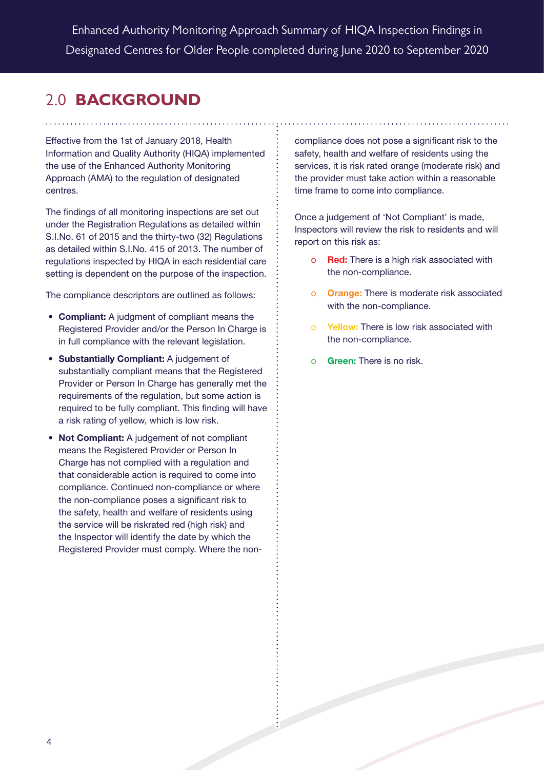### 2.0 **BACKGROUND**

Effective from the 1st of January 2018, Health Information and Quality Authority (HIQA) implemented the use of the Enhanced Authority Monitoring Approach (AMA) to the regulation of designated centres.

The findings of all monitoring inspections are set out under the Registration Regulations as detailed within S.I.No. 61 of 2015 and the thirty-two (32) Regulations as detailed within S.I.No. 415 of 2013. The number of regulations inspected by HIQA in each residential care setting is dependent on the purpose of the inspection.

The compliance descriptors are outlined as follows:

- Compliant: A judgment of compliant means the Registered Provider and/or the Person In Charge is in full compliance with the relevant legislation.
- Substantially Compliant: A judgement of substantially compliant means that the Registered Provider or Person In Charge has generally met the requirements of the regulation, but some action is required to be fully compliant. This finding will have a risk rating of yellow, which is low risk.
- Not Compliant: A judgement of not compliant means the Registered Provider or Person In Charge has not complied with a regulation and that considerable action is required to come into compliance. Continued non-compliance or where the non-compliance poses a significant risk to the safety, health and welfare of residents using the service will be riskrated red (high risk) and the Inspector will identify the date by which the Registered Provider must comply. Where the non-

compliance does not pose a significant risk to the safety, health and welfare of residents using the services, it is risk rated orange (moderate risk) and the provider must take action within a reasonable time frame to come into compliance.

Once a judgement of 'Not Compliant' is made, Inspectors will review the risk to residents and will report on this risk as:

- o Red: There is a high risk associated with the non-compliance.
- o Orange: There is moderate risk associated with the non-compliance.
- o Yellow: There is low risk associated with the non-compliance.
- o Green: There is no risk.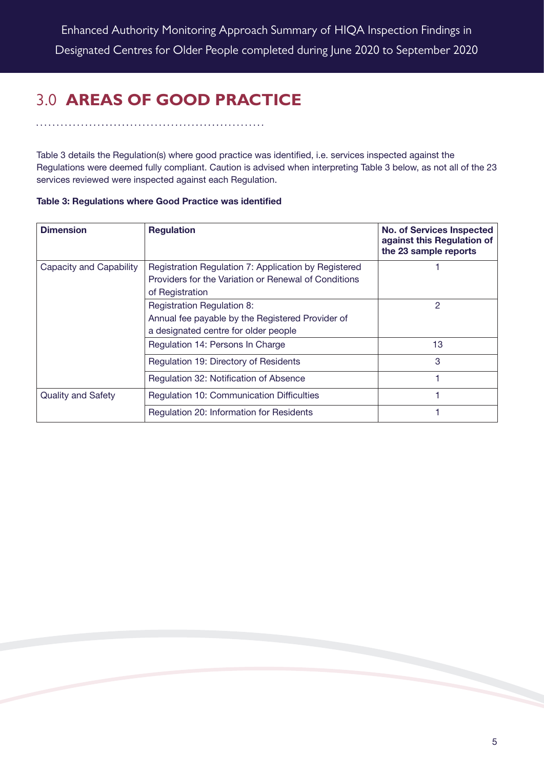### 3.0 **AREAS OF GOOD PRACTICE**

Table 3 details the Regulation(s) where good practice was identified, i.e. services inspected against the Regulations were deemed fully compliant. Caution is advised when interpreting Table 3 below, as not all of the 23 services reviewed were inspected against each Regulation.

### Table 3: Regulations where Good Practice was identified

| <b>Dimension</b>          | <b>Regulation</b>                                                                                                               | <b>No. of Services Inspected</b><br>against this Regulation of<br>the 23 sample reports |
|---------------------------|---------------------------------------------------------------------------------------------------------------------------------|-----------------------------------------------------------------------------------------|
| Capacity and Capability   | Registration Regulation 7: Application by Registered<br>Providers for the Variation or Renewal of Conditions<br>of Registration |                                                                                         |
|                           | <b>Registration Regulation 8:</b><br>Annual fee payable by the Registered Provider of<br>a designated centre for older people   | 2                                                                                       |
|                           | Regulation 14: Persons In Charge                                                                                                | 13                                                                                      |
|                           | Regulation 19: Directory of Residents                                                                                           | 3                                                                                       |
|                           | Regulation 32: Notification of Absence                                                                                          |                                                                                         |
| <b>Quality and Safety</b> | <b>Regulation 10: Communication Difficulties</b>                                                                                |                                                                                         |
|                           | Regulation 20: Information for Residents                                                                                        |                                                                                         |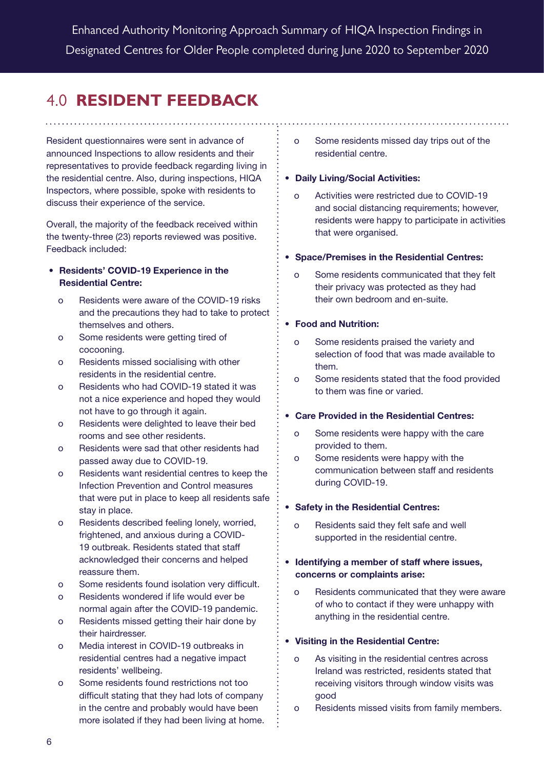### 4.0 **RESIDENT FEEDBACK**

Resident questionnaires were sent in advance of announced Inspections to allow residents and their representatives to provide feedback regarding living in the residential centre. Also, during inspections, HIQA Inspectors, where possible, spoke with residents to discuss their experience of the service.

Overall, the majority of the feedback received within the twenty-three (23) reports reviewed was positive. Feedback included:

### • Residents' COVID-19 Experience in the Residential Centre:

- o Residents were aware of the COVID-19 risks and the precautions they had to take to protect themselves and others.
- o Some residents were getting tired of cocooning.
- o Residents missed socialising with other residents in the residential centre.
- o Residents who had COVID-19 stated it was not a nice experience and hoped they would not have to go through it again.
- o Residents were delighted to leave their bed rooms and see other residents.
- o Residents were sad that other residents had passed away due to COVID-19.
- o Residents want residential centres to keep the Infection Prevention and Control measures that were put in place to keep all residents safe stay in place.
- o Residents described feeling lonely, worried, frightened, and anxious during a COVID- 19 outbreak. Residents stated that staff acknowledged their concerns and helped reassure them.
- o Some residents found isolation very difficult.
- o Residents wondered if life would ever be normal again after the COVID-19 pandemic.
- o Residents missed getting their hair done by their hairdresser.
- o Media interest in COVID-19 outbreaks in residential centres had a negative impact residents' wellbeing.
- o Some residents found restrictions not too difficult stating that they had lots of company in the centre and probably would have been more isolated if they had been living at home.

o Some residents missed day trips out of the residential centre.

### • Daily Living/Social Activities:

- o Activities were restricted due to COVID-19 and social distancing requirements; however, residents were happy to participate in activities that were organised.
- Space/Premises in the Residential Centres:
	- o Some residents communicated that they felt their privacy was protected as they had their own bedroom and en-suite.

### • Food and Nutrition:

- o Some residents praised the variety and selection of food that was made available to them.
- o Some residents stated that the food provided to them was fine or varied.

### • Care Provided in the Residential Centres:

- o Some residents were happy with the care provided to them.
- o Some residents were happy with the communication between staff and residents during COVID-19.

### • Safety in the Residential Centres:

- o Residents said they felt safe and well supported in the residential centre.
- Identifying a member of staff where issues, concerns or complaints arise:
	- o Residents communicated that they were aware of who to contact if they were unhappy with anything in the residential centre.

### • Visiting in the Residential Centre:

- o As visiting in the residential centres across Ireland was restricted, residents stated that receiving visitors through window visits was good
- o Residents missed visits from family members.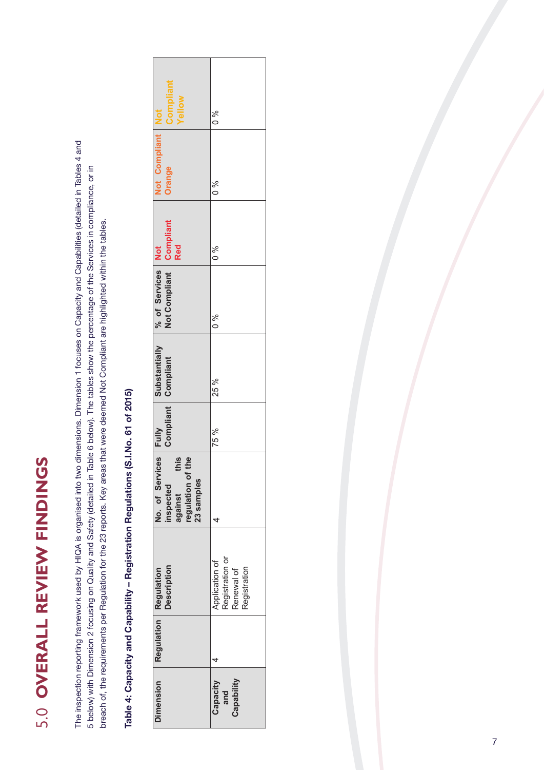## **Enhanced Authority Monitoring Approach** 5.0 OVERALL REVIEW FINDINGS 5.0 **OVERALL REVIEW FINDINGS**

breach of, the requirements per Regulation for the 23 reports. Key areas that were deemed Not Compliant are highlighted within the tables. The inspection reporting framework used by HIQA is organised into two dimensions. Dimension 1 focuses on Capacity and Capabilities (detailed in Tables 4 and The inspection reporting framework used by HIQA is organised into two dimensions. Dimension 1 focuses on Capacity and Capabilities (detailed in Tables 4 and 5 below) with Dimension 2 focusing on Quality and Safety (detailed in Table 6 below). The tables show the percentage of the Services in compliance, or in 5 below) with Dimension 2 focusing on Quality and Safety (detailed in Table 6 below). The tables show the percentage of the Services in compliance, or in breach of, the requirements per Regulation for the 23 reports. Key areas that were deemed Not Compliant are highlighted within the tables. breach of, the requirements per Regulation for the 23 reports. Key areas that were deemed Not Compliant are highlighted within the tables. **5.00 below) with Dimension 2 focusing on Qu** 

# ${\tt Table~4:}$  Canacity and Canability – Begistration Begulations  $({\bf S}$  I No. 61  $\sigma$ f 2015) Table 4: Capacity and Capability - Registration Regulations (S.I.No. 61 of 2015) Table 4: Capacity and Capability – Registration Regulations (S.I.No. 61 of 2015)

| <b>Compliant</b><br><b>Volley</b>                                                           | ° %                                                             |
|---------------------------------------------------------------------------------------------|-----------------------------------------------------------------|
| <b>NON Linuson Not</b><br><b>Drange</b>                                                     | 0 %                                                             |
|                                                                                             | ೢೕ                                                              |
| <b>Fully</b> Substantially % of Services Not<br>Compliant Compliant Not Compliant Compliant | o<br>O                                                          |
|                                                                                             | 25 %                                                            |
|                                                                                             | 75 %                                                            |
| No. of Services<br>eid<br>the<br>regulation of L<br>23 samples<br>against<br>inspected      |                                                                 |
| Description                                                                                 | Registration or<br>Application of<br>Registration<br>Renewal of |
|                                                                                             |                                                                 |
| Dimension Regulation Regulation                                                             | Capacity<br>Capability<br>and                                   |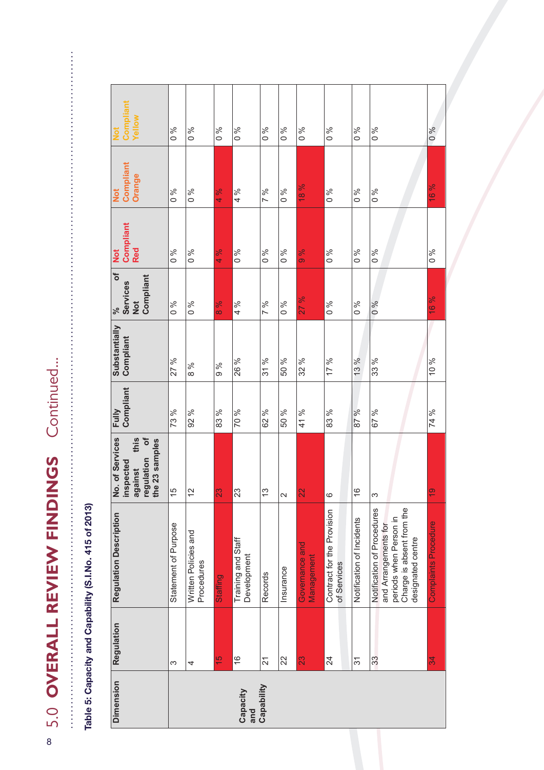5.0 **OVERALL REVIEW FINDINGS** Continued... **ES** Continued <sup>®</sup> 5.0 OVERALL REVIEW FINDINGS Continued...

**2020**

Table 5: Capacity and Capability (S.I.No. 415 of 2013) Table 5: Capacity and Capability (S.I.No. 415 of 2013)

| <b>Dimension</b> | Regulation     | <b>Regulation Description</b>                                                                                                  | No. of Services<br>regulation of<br>this<br>the 23 samples<br>nspected<br>against | Fully<br>Compliant | Substantially<br>Compliant | ðf<br>Compliant<br>Services<br>$\frac{1}{2}$<br>ೢೕ | Compliant<br>Red<br>Not | Compliant<br>Orange<br><b>Not</b> | Compliant<br>Yellow<br>Not |
|------------------|----------------|--------------------------------------------------------------------------------------------------------------------------------|-----------------------------------------------------------------------------------|--------------------|----------------------------|----------------------------------------------------|-------------------------|-----------------------------------|----------------------------|
|                  | ς              | Statement of Purpose                                                                                                           | 5                                                                                 | 73 %               | 27 %                       | $\%$ 0                                             | $\%$ 0                  | $\%$ 0                            | $\%$ 0                     |
|                  | 4              | Written Policies and<br>Procedures                                                                                             | $\overline{a}$                                                                    | 92 %               | 8 %                        | $\%$ 0                                             | $\frac{8}{6}$           | $\frac{96}{6}$                    | $\frac{6}{6}$              |
|                  | $\frac{5}{1}$  | Staffing                                                                                                                       | 23                                                                                | 83 %               | 9 %                        | 8%                                                 | 4%                      | $\aleph$<br>4                     | $\frac{9}{6}$              |
| Capacity<br>and  | $\frac{6}{1}$  | Training and Staff<br>Development                                                                                              | 23                                                                                | 70 %               | 26 %                       | 4%                                                 | $\%$ 0                  | 4%                                | $\frac{6}{6}$              |
| Capability       | $\overline{2}$ | Records                                                                                                                        | S                                                                                 | 62 %               | 31%                        | 7%                                                 | $\frac{9}{6}$           | 7 %                               | $\frac{9}{6}$              |
|                  | 22             | Insurance                                                                                                                      |                                                                                   | 50 %               | 50 %                       | $\%$ 0                                             | $\%$ 0                  | $\%$ 0                            | $\frac{96}{6}$             |
|                  | 23             | Governance and<br>Management                                                                                                   | $\overline{2}$                                                                    | 41 %               | 32 %                       | 27 %                                               | 9 %                     | 18 %                              | $\frac{6}{6}$ 0            |
|                  | 24             | Contract for the Provision<br>of Services                                                                                      |                                                                                   | 83 %               | 17 %                       | $\%$ 0                                             | $\%$ 0                  | $\frac{9}{6}$                     | $\%$ 0                     |
|                  | 31             | Notification of Incidents                                                                                                      | ဖ                                                                                 | 87 %               | 13%                        | $\%$ 0                                             | $\%$ 0                  | $\frac{6}{6}$                     | $\frac{9}{6}$              |
|                  | 33             | Charge is absent from the<br>Notification of Procedures<br>periods when Person in<br>and Arrangements for<br>designated centre |                                                                                   | 67 %               | 33 %                       | $\frac{9}{6}$                                      | $\frac{9}{6}$           | $\frac{9}{6}$                     | $\frac{96}{6}$             |
|                  | 34             | <b>Complaints Procedure</b>                                                                                                    | $\circ$                                                                           | 74 %               | 10 %                       | 16 %                                               | $\%$ 0                  | 16 %                              | % 0                        |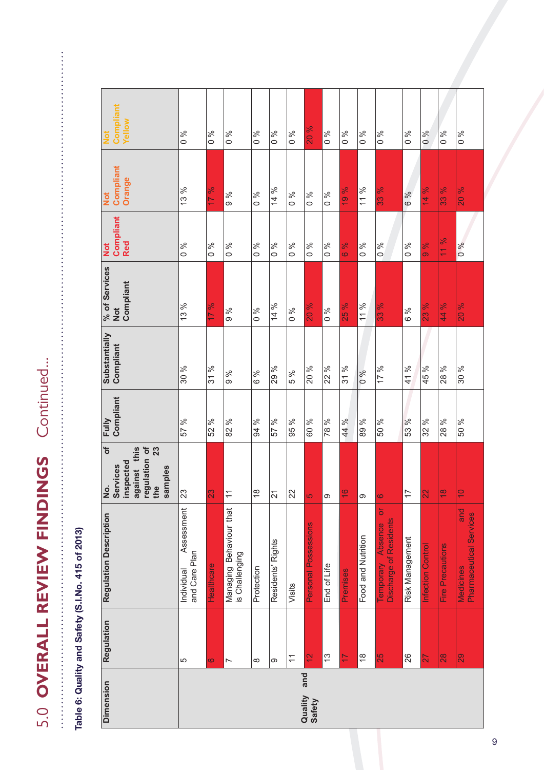5.0 OVERALL REVIEW FINDINGS Continued... 5.0 **OVERALL REVIEW FINDINGS** Continued...

**Summary of HIQA Inspection Findings in Designated Centres for Older People completed during June 2020 to September**

### Table 6: Quality and Safety (S.I.No. 415 of 2013) Table 6: Quality and Safety (S.I.No. 415 of 2013)

| Regulation<br>Dimension                                                                 | 5                                         | 6               | N                                         | $\infty$      | ග                 | $\overline{\mathcal{L}}$ | 은<br>and<br>Quality<br>Safety | 13             | $\overline{\overline{1}}$ | $\overset{\infty}{\leftarrow}$   | 25                                                                                    | 26              | 27                | 28                         | 29                                          |
|-----------------------------------------------------------------------------------------|-------------------------------------------|-----------------|-------------------------------------------|---------------|-------------------|--------------------------|-------------------------------|----------------|---------------------------|----------------------------------|---------------------------------------------------------------------------------------|-----------------|-------------------|----------------------------|---------------------------------------------|
|                                                                                         |                                           |                 |                                           |               |                   |                          |                               |                |                           |                                  |                                                                                       |                 |                   |                            |                                             |
| <b>Regulation Description</b>                                                           | Assessment<br>and Care Plan<br>Individual | Healthcare      | Managing Behaviour that<br>is Challenging | Protection    | Residents' Rights | Visits                   | Personal Possessions          | End of Life    | Premises                  | Food and Nutrition               | $\overleftarrow{\mathrm{o}}$<br><b>Discharge of Residents</b><br>Absence<br>Temporary | Risk Management | Infection Control | <b>Fire Precautions</b>    | and<br>Pharmaceutical Services<br>Medicines |
| ቴ<br>against this<br>regulation of<br>the 23<br>inspected<br>Services<br>samples<br>No. | 23                                        | 23              | $\overline{\mathcal{L}}$                  | $\frac{8}{1}$ | $\overline{2}$    | 22                       | 5                             | တ              | $\frac{1}{6}$             | တ                                | 6                                                                                     | $\overline{1}$  | $\overline{2}$    | $\frac{8}{1}$              | $\overline{10}$                             |
| Fully<br>Compliant                                                                      | 57 %                                      | 52 %            | 82 %                                      | 94 %          | 57 %              | $\frac{5}{6}$<br>95      | 60 %                          | 78 %           | 44 %                      | 89 %                             | 50 %                                                                                  | 53 %            | 32 %              | 28 %                       | 50 %                                        |
| Substantially<br>Compliant                                                              | 30 %                                      | 31 %            | 9%                                        | 6 %           | 29 %              | 5 %                      | 20 %                          | 22 %           | 31 %                      | $\%$ 0                           | 17 %                                                                                  | 41 %            | 45 %              | 28 %                       | 30 %                                        |
| % of Services<br>Compliant<br>Not                                                       | 13 %                                      | 17%             | $9\%$                                     | $\%$ 0        | 14 %              | $\frac{96}{6}$           | 20 %                          | $\%$ 0         | 25 %                      | 11 %                             | 33 %                                                                                  | 8 %             | 23 %              | $\infty$<br>$\overline{4}$ | <b>20%</b>                                  |
| Compliant<br>Red<br>Not                                                                 | $\frac{9}{6}$                             | $\frac{9}{6}$   | $\%$ 0                                    | ℅<br>$\circ$  | $\frac{9}{6}$     | $\%$ 0                   | $\frac{9}{6}$                 | $\frac{9}{6}$  | $\frac{96}{9}$            | $\%$ 0                           | $\%$ 0                                                                                | $\frac{9}{6}$   | 9 %               | 11 %                       | % 0                                         |
| Compliant<br><b>Orange</b><br>$\frac{1}{2}$                                             | 13 %                                      | 17 %            | 9%                                        | $\%$ 0        | 14 %              | $\%$ 0                   | $\%$ 0                        | $\frac{96}{6}$ | 19 %                      | $\%$<br>$\overline{\mathcal{L}}$ | 33 %                                                                                  | <b>9%</b>       | 14 %              | $\frac{5}{6}$<br>က္က       | 20 %                                        |
| <b>Compliant</b><br>Yellow<br>ă                                                         | $\frac{9}{6}$                             | $\%$<br>$\circ$ | ಸಿ<br>$\circ$                             | ಸಿ<br>$\circ$ | $\frac{6}{6}$     | $\%$<br>$\circ$          | <b>20%</b>                    | $\%$ 0         | $\frac{96}{6}$            | $\%$ 0                           | $\%$ 0                                                                                | $\frac{9}{6}$   | $\frac{6}{6}$     | $\frac{96}{6}$             | ℅<br>$\circ$                                |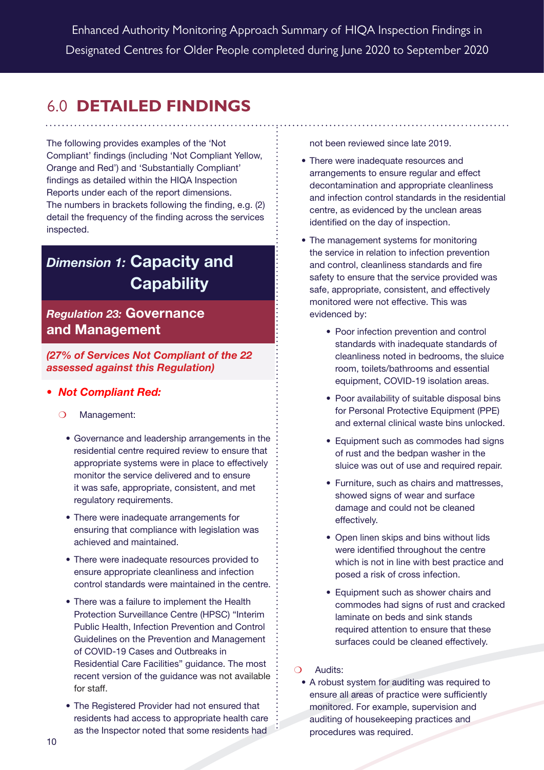### 6.0 **DETAILED FINDINGS**

The following provides examples of the 'Not Compliant' findings (including 'Not Compliant Yellow, Orange and Red') and 'Substantially Compliant' findings as detailed within the HIQA Inspection Reports under each of the report dimensions. The numbers in brackets following the finding, e.g. (2) detail the frequency of the finding across the services inspected.

### *Dimension 1:* Capacity and **Capability**

### *Regulation 23:* Governance and Management

*(27% of Services Not Compliant of the 22 assessed against this Regulation)*

### *• Not Compliant Red:*

- ❍ Management:
	- Governance and leadership arrangements in the residential centre required review to ensure that appropriate systems were in place to effectively monitor the service delivered and to ensure it was safe, appropriate, consistent, and met regulatory requirements.
	- There were inadequate arrangements for ensuring that compliance with legislation was achieved and maintained.
	- There were inadequate resources provided to ensure appropriate cleanliness and infection control standards were maintained in the centre.
	- There was a failure to implement the Health Protection Surveillance Centre (HPSC) "Interim Public Health, Infection Prevention and Control Guidelines on the Prevention and Management of COVID-19 Cases and Outbreaks in Residential Care Facilities" guidance. The most recent version of the guidance was not available for staff.
	- The Registered Provider had not ensured that residents had access to appropriate health care as the Inspector noted that some residents had

not been reviewed since late 2019.

• There were inadequate resources and arrangements to ensure regular and effect decontamination and appropriate cleanliness and infection control standards in the residential centre, as evidenced by the unclean areas identified on the day of inspection.

- The management systems for monitoring the service in relation to infection prevention and control, cleanliness standards and fire safety to ensure that the service provided was safe, appropriate, consistent, and effectively monitored were not effective. This was evidenced by:
	- Poor infection prevention and control standards with inadequate standards of cleanliness noted in bedrooms, the sluice room, toilets/bathrooms and essential equipment, COVID-19 isolation areas.
	- Poor availability of suitable disposal bins for Personal Protective Equipment (PPE) and external clinical waste bins unlocked.
	- Equipment such as commodes had signs of rust and the bedpan washer in the sluice was out of use and required repair.
	- Furniture, such as chairs and mattresses, showed signs of wear and surface damage and could not be cleaned effectively.
	- Open linen skips and bins without lids were identified throughout the centre which is not in line with best practice and posed a risk of cross infection.
	- Equipment such as shower chairs and commodes had signs of rust and cracked laminate on beds and sink stands required attention to ensure that these surfaces could be cleaned effectively.
- ❍ Audits:
	- A robust system for auditing was required to ensure all areas of practice were sufficiently monitored. For example, supervision and auditing of housekeeping practices and procedures was required.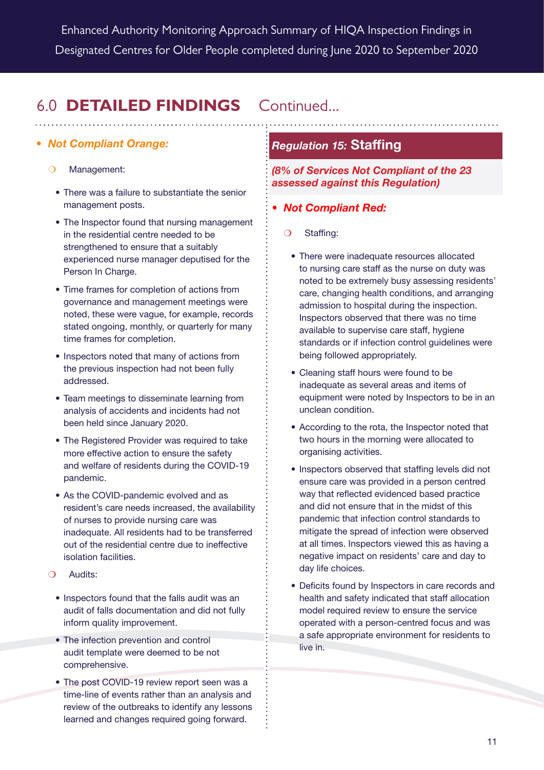### *• Not Compliant Orange:*

- O Management:
	- There was a failure to substantiate the senior management posts.
	- The Inspector found that nursing management in the residential centre needed to be strengthened to ensure that a suitably experienced nurse manager deputised for the Person In Charge.
	- Time frames for completion of actions from governance and management meetings were noted, these were vague, for example, records stated ongoing, monthly, or quarterly for many time frames for completion.
	- Inspectors noted that many of actions from the previous inspection had not been fully addressed.
	- Team meetings to disseminate learning from analysis of accidents and incidents had not been held since January 2020.
	- The Registered Provider was required to take more effective action to ensure the safety and welfare of residents during the COVID-19 pandemic.
	- As the COVID-pandemic evolved and as resident's care needs increased, the availability of nurses to provide nursing care was inadequate. All residents had to be transferred out of the residential centre due to ineffective isolation facilities.
- ❍ Audits:
	- Inspectors found that the falls audit was an audit of falls documentation and did not fully inform quality improvement.
	- The infection prevention and control audit template were deemed to be not comprehensive.
	- The post COVID-19 review report seen was a time-line of events rather than an analysis and review of the outbreaks to identify any lessons learned and changes required going forward.

### 

### *Regulation 15:* Staffing

### *(8% of Services Not Compliant of the 23 assessed against this Regulation)*

### *• Not Compliant Red:*

- ❍ Staffing:
	- There were inadequate resources allocated to nursing care staff as the nurse on duty was noted to be extremely busy assessing residents' care, changing health conditions, and arranging admission to hospital during the inspection. Inspectors observed that there was no time available to supervise care staff, hygiene standards or if infection control guidelines were being followed appropriately.
	- Cleaning staff hours were found to be inadequate as several areas and items of equipment were noted by Inspectors to be in an unclean condition.
	- According to the rota, the Inspector noted that two hours in the morning were allocated to organising activities.
	- Inspectors observed that staffing levels did not ensure care was provided in a person centred way that reflected evidenced based practice and did not ensure that in the midst of this pandemic that infection control standards to mitigate the spread of infection were observed at all times. Inspectors viewed this as having a negative impact on residents' care and day to day life choices.
	- Deficits found by Inspectors in care records and health and safety indicated that staff allocation model required review to ensure the service operated with a person-centred focus and was a safe appropriate environment for residents to live in.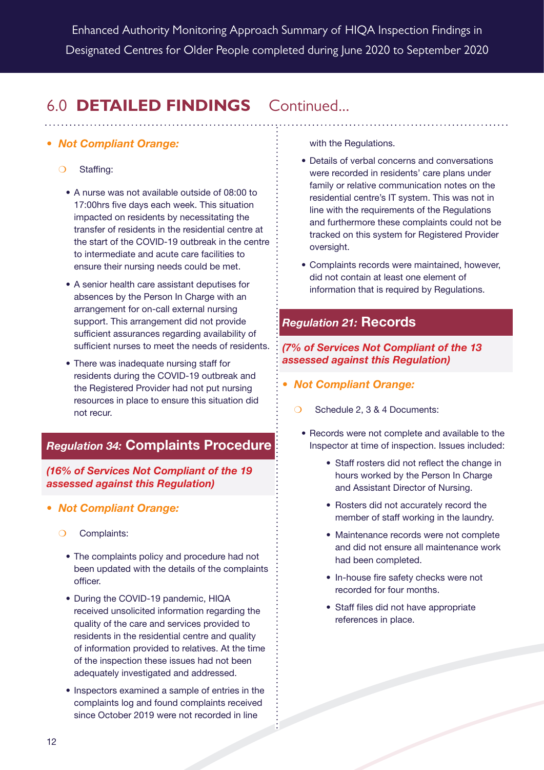### *• Not Compliant Orange:*

- ❍ Staffing:
	- A nurse was not available outside of 08:00 to 17:00hrs five days each week. This situation impacted on residents by necessitating the transfer of residents in the residential centre at the start of the COVID-19 outbreak in the centre to intermediate and acute care facilities to ensure their nursing needs could be met.
	- A senior health care assistant deputises for absences by the Person In Charge with an arrangement for on-call external nursing support. This arrangement did not provide sufficient assurances regarding availability of sufficient nurses to meet the needs of residents.
	- There was inadequate nursing staff for residents during the COVID-19 outbreak and the Registered Provider had not put nursing resources in place to ensure this situation did not recur.

### *Regulation 34:* Complaints Procedure

*(16% of Services Not Compliant of the 19 assessed against this Regulation)*

- *• Not Compliant Orange:*
	- O Complaints:
		- The complaints policy and procedure had not been updated with the details of the complaints officer.
		- During the COVID-19 pandemic, HIQA received unsolicited information regarding the quality of the care and services provided to residents in the residential centre and quality of information provided to relatives. At the time of the inspection these issues had not been adequately investigated and addressed.
		- Inspectors examined a sample of entries in the complaints log and found complaints received since October 2019 were not recorded in line

with the Regulations.

• Details of verbal concerns and conversations were recorded in residents' care plans under family or relative communication notes on the residential centre's IT system. This was not in line with the requirements of the Regulations and furthermore these complaints could not be tracked on this system for Registered Provider oversight.

• Complaints records were maintained, however, did not contain at least one element of information that is required by Regulations.

### *Regulation 21:* Records

### *(7% of Services Not Compliant of the 13 assessed against this Regulation)*

- *• Not Compliant Orange:*
	- Schedule 2, 3 & 4 Documents:
		- Records were not complete and available to the Inspector at time of inspection. Issues included:
			- Staff rosters did not reflect the change in hours worked by the Person In Charge and Assistant Director of Nursing.
			- Rosters did not accurately record the member of staff working in the laundry.
			- Maintenance records were not complete and did not ensure all maintenance work had been completed.
			- In-house fire safety checks were not recorded for four months.
			- Staff files did not have appropriate references in place.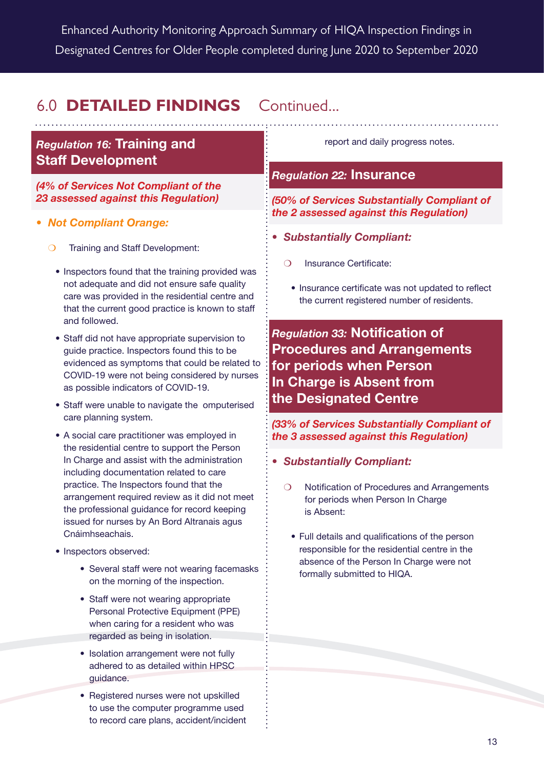### 6.0 **DETAILED FINDINGS** Continued...

### *Regulation 16:* Training and **Staff Development**

*(4% of Services Not Compliant of the 23 assessed against this Regulation)*

- *• Not Compliant Orange:*
	- O Training and Staff Development:
		- Inspectors found that the training provided was not adequate and did not ensure safe quality care was provided in the residential centre and that the current good practice is known to staff and followed.
		- Staff did not have appropriate supervision to guide practice. Inspectors found this to be evidenced as symptoms that could be related to COVID-19 were not being considered by nurses as possible indicators of COVID-19.
		- Staff were unable to navigate the omputerised care planning system.
		- A social care practitioner was employed in the residential centre to support the Person In Charge and assist with the administration including documentation related to care practice. The Inspectors found that the arrangement required review as it did not meet the professional guidance for record keeping issued for nurses by An Bord Altranais agus Cnáimhseachais.
		- Inspectors observed:
			- Several staff were not wearing facemasks on the morning of the inspection.
			- Staff were not wearing appropriate Personal Protective Equipment (PPE) when caring for a resident who was regarded as being in isolation.
			- Isolation arrangement were not fully adhered to as detailed within HPSC guidance.
			- Registered nurses were not upskilled to use the computer programme used to record care plans, accident/incident

report and daily progress notes.

### *Regulation 22:* Insurance

*(50% of Services Substantially Compliant of the 2 assessed against this Regulation)*

- *• Substantially Compliant:*
	- O Insurance Certificate:
		- Insurance certificate was not updated to reflect the current registered number of residents.

*Regulation 33:* Notification of Procedures and Arrangements for periods when Person In Charge is Absent from the Designated Centre

*(33% of Services Substantially Compliant of the 3 assessed against this Regulation)*

- *• Substantially Compliant:*
	- O Notification of Procedures and Arrangements for periods when Person In Charge is Absent:
		- Full details and qualifications of the person responsible for the residential centre in the absence of the Person In Charge were not formally submitted to HIQA.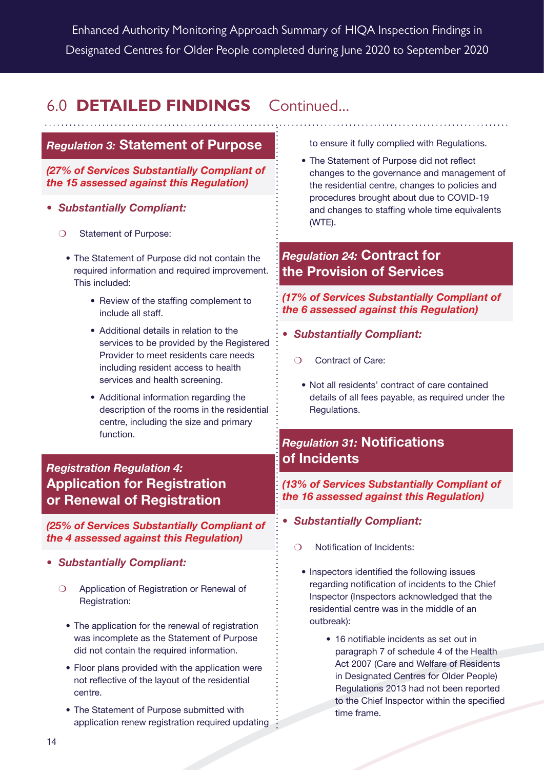### 6.0 **DETAILED FINDINGS** Continued...

### *Regulation 3:* Statement of Purpose

*(27% of Services Substantially Compliant of the 15 assessed against this Regulation)*

- *• Substantially Compliant:*
	- O Statement of Purpose:
		- The Statement of Purpose did not contain the required information and required improvement. This included:
			- Review of the staffing complement to include all staff.
			- Additional details in relation to the services to be provided by the Registered Provider to meet residents care needs including resident access to health services and health screening.
			- Additional information regarding the description of the rooms in the residential centre, including the size and primary function.

### *Registration Regulation 4:* Application for Registration or Renewal of Registration

*(25% of Services Substantially Compliant of the 4 assessed against this Regulation)*

- *• Substantially Compliant:*
	- O Application of Registration or Renewal of Registration:
		- The application for the renewal of registration was incomplete as the Statement of Purpose did not contain the required information.
		- Floor plans provided with the application were not reflective of the layout of the residential centre.
		- The Statement of Purpose submitted with application renew registration required updating

to ensure it fully complied with Regulations.

• The Statement of Purpose did not reflect changes to the governance and management of the residential centre, changes to policies and procedures brought about due to COVID-19 and changes to staffing whole time equivalents (WTE).

### *Regulation 24:* Contract for the Provision of Services

*(17% of Services Substantially Compliant of the 6 assessed against this Regulation)*

- *• Substantially Compliant:*
	- ❍ Contract of Care:
		- Not all residents' contract of care contained details of all fees payable, as required under the Regulations.

### *Regulation 31:* Notifications of Incidents

*(13% of Services Substantially Compliant of the 16 assessed against this Regulation)*

- *• Substantially Compliant:*
	- ❍ Notification of Incidents:
		- Inspectors identified the following issues regarding notification of incidents to the Chief Inspector (Inspectors acknowledged that the residential centre was in the middle of an outbreak):
			- 16 notifiable incidents as set out in paragraph 7 of schedule 4 of the Health Act 2007 (Care and Welfare of Residents in Designated Centres for Older People) Regulations 2013 had not been reported to the Chief Inspector within the specified time frame.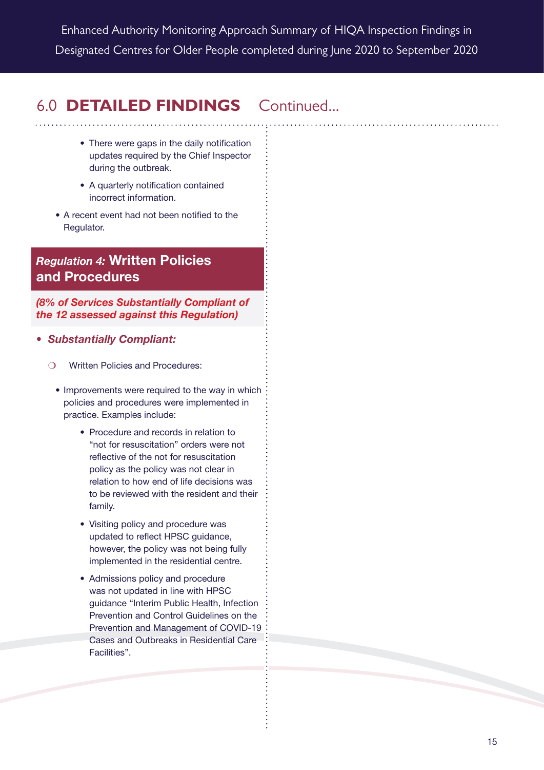### 6.0 **DETAILED FINDINGS** Continued...

- There were gaps in the daily notification updates required by the Chief Inspector during the outbreak.
- A quarterly notification contained incorrect information.
- A recent event had not been notified to the Regulator.

### *Regulation 4:* Written Policies and Procedures

*(8% of Services Substantially Compliant of the 12 assessed against this Regulation)*

- *• Substantially Compliant:*
	- ❍ Written Policies and Procedures:
		- Improvements were required to the way in which policies and procedures were implemented in practice. Examples include:
			- Procedure and records in relation to "not for resuscitation" orders were not reflective of the not for resuscitation policy as the policy was not clear in relation to how end of life decisions was to be reviewed with the resident and their family.
			- Visiting policy and procedure was updated to reflect HPSC guidance, however, the policy was not being fully implemented in the residential centre.
			- Admissions policy and procedure was not updated in line with HPSC guidance "Interim Public Health, Infection Prevention and Control Guidelines on the Prevention and Management of COVID-19 Cases and Outbreaks in Residential Care Facilities".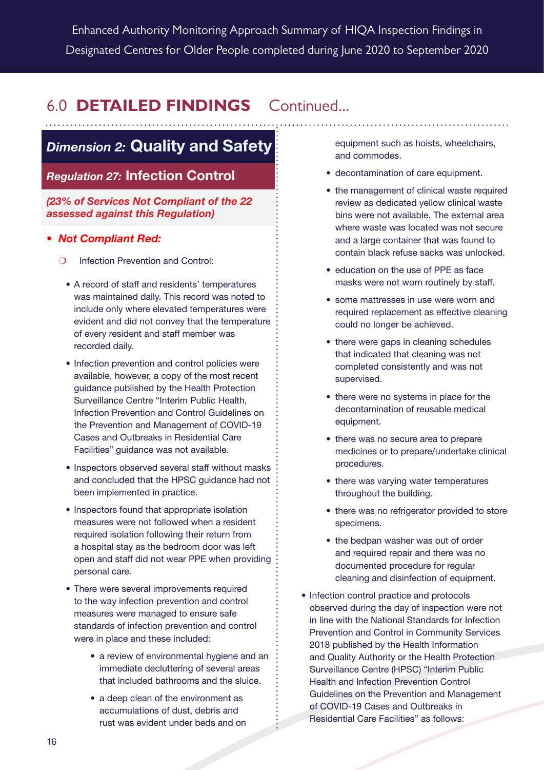### 6.0 **DETAILED FINDINGS** Continued...

### *Dimension 2:* Quality and Safety

### *Regulation 27:* Infection Control

### *(23% of Services Not Compliant of the 22 assessed against this Regulation)*

### *• Not Compliant Red:*

- O Infection Prevention and Control:
	- A record of staff and residents' temperatures was maintained daily. This record was noted to include only where elevated temperatures were evident and did not convey that the temperature of every resident and staff member was recorded daily.
	- Infection prevention and control policies were available, however, a copy of the most recent guidance published by the Health Protection Surveillance Centre "Interim Public Health, Infection Prevention and Control Guidelines on the Prevention and Management of COVID-19 Cases and Outbreaks in Residential Care Facilities" guidance was not available.
	- Inspectors observed several staff without masks and concluded that the HPSC guidance had not been implemented in practice.
	- Inspectors found that appropriate isolation measures were not followed when a resident required isolation following their return from a hospital stay as the bedroom door was left open and staff did not wear PPE when providing personal care.
	- There were several improvements required to the way infection prevention and control measures were managed to ensure safe standards of infection prevention and control were in place and these included:
		- a review of environmental hygiene and an immediate decluttering of several areas that included bathrooms and the sluice.
		- a deep clean of the environment as accumulations of dust, debris and rust was evident under beds and on

equipment such as hoists, wheelchairs, and commodes.

- decontamination of care equipment.
- the management of clinical waste required review as dedicated yellow clinical waste bins were not available. The external area where waste was located was not secure and a large container that was found to contain black refuse sacks was unlocked.
- education on the use of PPE as face masks were not worn routinely by staff.
- some mattresses in use were worn and required replacement as effective cleaning could no longer be achieved.
- there were gaps in cleaning schedules that indicated that cleaning was not completed consistently and was not supervised.
- there were no systems in place for the decontamination of reusable medical equipment.
- there was no secure area to prepare medicines or to prepare/undertake clinical procedures.
- there was varying water temperatures throughout the building.
- there was no refrigerator provided to store specimens.
- the bedpan washer was out of order and required repair and there was no documented procedure for regular cleaning and disinfection of equipment.
- Infection control practice and protocols observed during the day of inspection were not in line with the National Standards for Infection Prevention and Control in Community Services 2018 published by the Health Information and Quality Authority or the Health Protection Surveillance Centre (HPSC) "Interim Public Health and Infection Prevention Control Guidelines on the Prevention and Management of COVID-19 Cases and Outbreaks in Residential Care Facilities" as follows: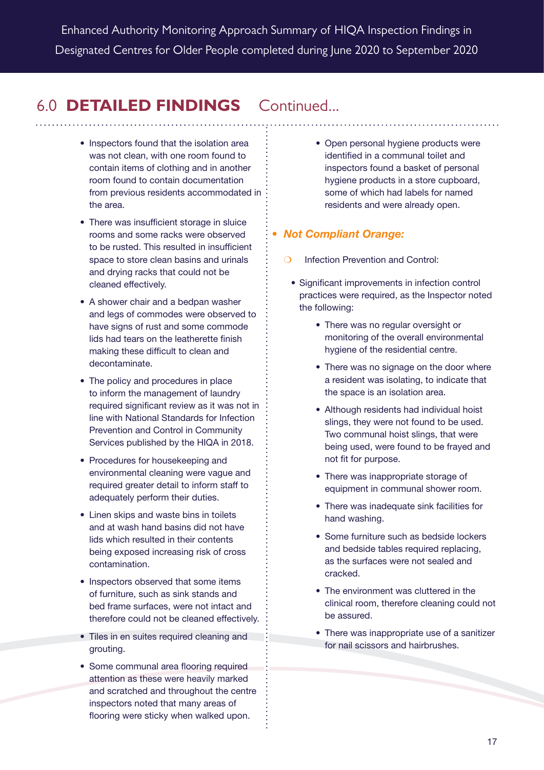### 6.0 **DETAILED FINDINGS** Continued...

- Inspectors found that the isolation area was not clean, with one room found to contain items of clothing and in another room found to contain documentation from previous residents accommodated in the area.
- There was insufficient storage in sluice rooms and some racks were observed to be rusted. This resulted in insufficient space to store clean basins and urinals and drying racks that could not be cleaned effectively.
- A shower chair and a bedpan washer and legs of commodes were observed to have signs of rust and some commode lids had tears on the leatherette finish making these difficult to clean and decontaminate.
- The policy and procedures in place to inform the management of laundry required significant review as it was not in line with National Standards for Infection Prevention and Control in Community Services published by the HIQA in 2018.
- Procedures for housekeeping and environmental cleaning were vague and required greater detail to inform staff to adequately perform their duties.
- Linen skips and waste bins in toilets and at wash hand basins did not have lids which resulted in their contents being exposed increasing risk of cross contamination.
- Inspectors observed that some items of furniture, such as sink stands and bed frame surfaces, were not intact and therefore could not be cleaned effectively.
- Tiles in en suites required cleaning and grouting.
- Some communal area flooring required attention as these were heavily marked and scratched and throughout the centre inspectors noted that many areas of flooring were sticky when walked upon.

• Open personal hygiene products were identified in a communal toilet and inspectors found a basket of personal hygiene products in a store cupboard, some of which had labels for named residents and were already open.

### *• Not Compliant Orange:*

- ◯ Infection Prevention and Control:
	- Significant improvements in infection control practices were required, as the Inspector noted the following:
		- There was no regular oversight or monitoring of the overall environmental hygiene of the residential centre.
		- There was no signage on the door where a resident was isolating, to indicate that the space is an isolation area.
		- Although residents had individual hoist slings, they were not found to be used. Two communal hoist slings, that were being used, were found to be frayed and not fit for purpose.
		- There was inappropriate storage of equipment in communal shower room.
		- There was inadequate sink facilities for hand washing.
		- Some furniture such as bedside lockers and bedside tables required replacing, as the surfaces were not sealed and cracked.
		- The environment was cluttered in the clinical room, therefore cleaning could not be assured.
		- There was inappropriate use of a sanitizer for nail scissors and hairbrushes.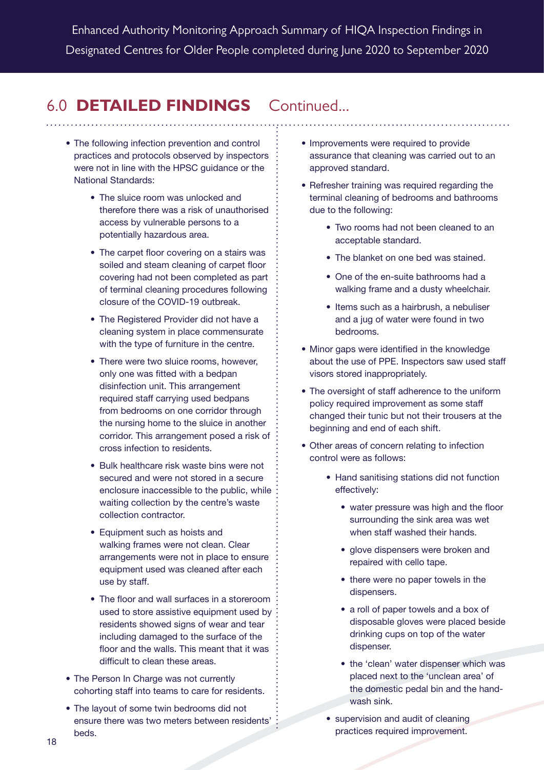- The following infection prevention and control practices and protocols observed by inspectors were not in line with the HPSC guidance or the National Standards:
	- The sluice room was unlocked and therefore there was a risk of unauthorised access by vulnerable persons to a potentially hazardous area.
	- The carpet floor covering on a stairs was soiled and steam cleaning of carpet floor covering had not been completed as part of terminal cleaning procedures following closure of the COVID-19 outbreak.
	- The Registered Provider did not have a cleaning system in place commensurate with the type of furniture in the centre.
	- There were two sluice rooms, however, only one was fitted with a bedpan disinfection unit. This arrangement required staff carrying used bedpans from bedrooms on one corridor through the nursing home to the sluice in another corridor. This arrangement posed a risk of cross infection to residents.
	- Bulk healthcare risk waste bins were not secured and were not stored in a secure enclosure inaccessible to the public, while waiting collection by the centre's waste collection contractor.
	- Equipment such as hoists and walking frames were not clean. Clear arrangements were not in place to ensure equipment used was cleaned after each use by staff.
	- The floor and wall surfaces in a storeroom used to store assistive equipment used by residents showed signs of wear and tear including damaged to the surface of the floor and the walls. This meant that it was difficult to clean these areas.
- The Person In Charge was not currently cohorting staff into teams to care for residents.
- The layout of some twin bedrooms did not ensure there was two meters between residents' beds.
- Improvements were required to provide assurance that cleaning was carried out to an approved standard.
- Refresher training was required regarding the terminal cleaning of bedrooms and bathrooms due to the following:
	- Two rooms had not been cleaned to an acceptable standard.
	- The blanket on one bed was stained.
	- One of the en-suite bathrooms had a walking frame and a dusty wheelchair.
	- Items such as a hairbrush, a nebuliser and a jug of water were found in two bedrooms.
- Minor gaps were identified in the knowledge about the use of PPE. Inspectors saw used staff visors stored inappropriately.
- The oversight of staff adherence to the uniform policy required improvement as some staff changed their tunic but not their trousers at the beginning and end of each shift.
- Other areas of concern relating to infection control were as follows:
	- Hand sanitising stations did not function effectively:
		- water pressure was high and the floor surrounding the sink area was wet when staff washed their hands.
		- glove dispensers were broken and repaired with cello tape.
		- there were no paper towels in the dispensers.
		- a roll of paper towels and a box of disposable gloves were placed beside drinking cups on top of the water dispenser.
		- the 'clean' water dispenser which was placed next to the 'unclean area' of the domestic pedal bin and the handwash sink.
	- supervision and audit of cleaning practices required improvement.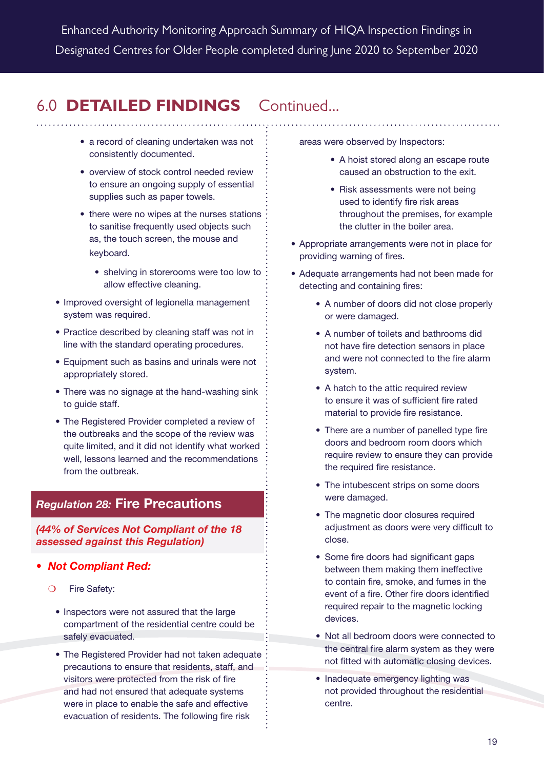### 6.0 **DETAILED FINDINGS** Continued...

- a record of cleaning undertaken was not consistently documented.
- overview of stock control needed review to ensure an ongoing supply of essential supplies such as paper towels.
- there were no wipes at the nurses stations to sanitise frequently used objects such as, the touch screen, the mouse and keyboard.
	- shelving in storerooms were too low to allow effective cleaning.
- Improved oversight of legionella management system was required.
- Practice described by cleaning staff was not in line with the standard operating procedures.
- Equipment such as basins and urinals were not appropriately stored.
- There was no signage at the hand-washing sink to guide staff.
- The Registered Provider completed a review of the outbreaks and the scope of the review was quite limited, and it did not identify what worked well, lessons learned and the recommendations from the outbreak.

### *Regulation 28:* Fire Precautions

*(44% of Services Not Compliant of the 18 assessed against this Regulation)*

### *• Not Compliant Red:*

- O Fire Safety:
	- Inspectors were not assured that the large compartment of the residential centre could be safely evacuated.
	- The Registered Provider had not taken adequate: precautions to ensure that residents, staff, and visitors were protected from the risk of fire and had not ensured that adequate systems were in place to enable the safe and effective evacuation of residents. The following fire risk

areas were observed by Inspectors:

- A hoist stored along an escape route caused an obstruction to the exit.
- Risk assessments were not being used to identify fire risk areas throughout the premises, for example the clutter in the boiler area.
- Appropriate arrangements were not in place for providing warning of fires.
- Adequate arrangements had not been made for detecting and containing fires:
	- A number of doors did not close properly or were damaged.
	- A number of toilets and bathrooms did not have fire detection sensors in place and were not connected to the fire alarm system.
	- A hatch to the attic required review to ensure it was of sufficient fire rated material to provide fire resistance.
	- There are a number of panelled type fire doors and bedroom room doors which require review to ensure they can provide the required fire resistance.
	- The intubescent strips on some doors were damaged.
	- The magnetic door closures required adjustment as doors were very difficult to close.
	- Some fire doors had significant gaps between them making them ineffective to contain fire, smoke, and fumes in the event of a fire. Other fire doors identified required repair to the magnetic locking devices.
	- Not all bedroom doors were connected to the central fire alarm system as they were not fitted with automatic closing devices.
	- Inadequate emergency lighting was not provided throughout the residential centre.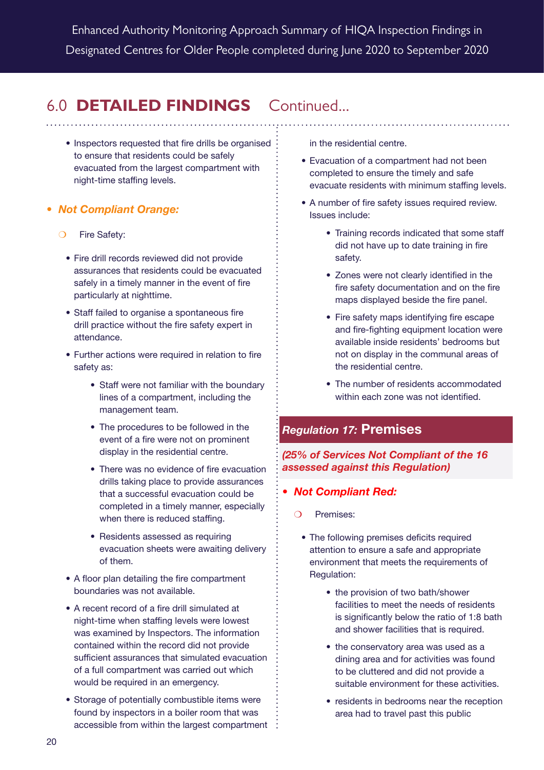• Inspectors requested that fire drills be organised to ensure that residents could be safely evacuated from the largest compartment with night-time staffing levels.

### *• Not Compliant Orange:*

- O Fire Safety:
	- Fire drill records reviewed did not provide assurances that residents could be evacuated safely in a timely manner in the event of fire particularly at nighttime.
	- Staff failed to organise a spontaneous fire drill practice without the fire safety expert in attendance.
	- Further actions were required in relation to fire safety as:
		- Staff were not familiar with the boundary lines of a compartment, including the management team.
		- The procedures to be followed in the event of a fire were not on prominent display in the residential centre.
		- There was no evidence of fire evacuation drills taking place to provide assurances that a successful evacuation could be completed in a timely manner, especially when there is reduced staffing.
		- Residents assessed as requiring evacuation sheets were awaiting delivery of them.
	- A floor plan detailing the fire compartment boundaries was not available.
	- A recent record of a fire drill simulated at night-time when staffing levels were lowest was examined by Inspectors. The information contained within the record did not provide sufficient assurances that simulated evacuation of a full compartment was carried out which would be required in an emergency.
	- Storage of potentially combustible items were found by inspectors in a boiler room that was accessible from within the largest compartment :

in the residential centre.

• Evacuation of a compartment had not been completed to ensure the timely and safe evacuate residents with minimum staffing levels.

- A number of fire safety issues required review. Issues include:
	- Training records indicated that some staff did not have up to date training in fire safety.
	- Zones were not clearly identified in the fire safety documentation and on the fire maps displayed beside the fire panel.
	- Fire safety maps identifying fire escape and fire-fighting equipment location were available inside residents' bedrooms but not on display in the communal areas of the residential centre.
	- The number of residents accommodated within each zone was not identified.

### *Regulation 17:* Premises

*(25% of Services Not Compliant of the 16 assessed against this Regulation)*

### *• Not Compliant Red:*

- ❍ Premises:
	- The following premises deficits required attention to ensure a safe and appropriate environment that meets the requirements of Regulation:
		- the provision of two bath/shower facilities to meet the needs of residents is significantly below the ratio of 1:8 bath and shower facilities that is required.
		- the conservatory area was used as a dining area and for activities was found to be cluttered and did not provide a suitable environment for these activities.
		- residents in bedrooms near the reception area had to travel past this public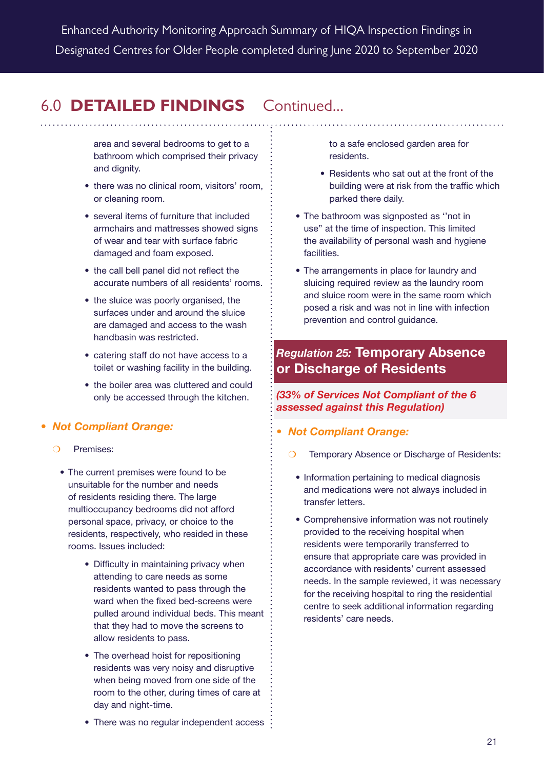area and several bedrooms to get to a bathroom which comprised their privacy and dignity.

. . . . . . . . . . . . .

- there was no clinical room, visitors' room, or cleaning room.
- several items of furniture that included armchairs and mattresses showed signs of wear and tear with surface fabric damaged and foam exposed.
- the call bell panel did not reflect the accurate numbers of all residents' rooms.
- the sluice was poorly organised, the surfaces under and around the sluice are damaged and access to the wash handbasin was restricted.
- catering staff do not have access to a toilet or washing facility in the building.
- the boiler area was cluttered and could only be accessed through the kitchen.

### *• Not Compliant Orange:*

- ❍ Premises:
	- The current premises were found to be unsuitable for the number and needs of residents residing there. The large multioccupancy bedrooms did not afford personal space, privacy, or choice to the residents, respectively, who resided in these rooms. Issues included:
		- Difficulty in maintaining privacy when attending to care needs as some residents wanted to pass through the ward when the fixed bed-screens were pulled around individual beds. This meant that they had to move the screens to allow residents to pass.
		- The overhead hoist for repositioning residents was very noisy and disruptive when being moved from one side of the room to the other, during times of care at day and night-time.

to a safe enclosed garden area for residents.

- Residents who sat out at the front of the building were at risk from the traffic which parked there daily.
- The bathroom was signposted as ''not in use'' at the time of inspection. This limited the availability of personal wash and hygiene facilities.
- The arrangements in place for laundry and sluicing required review as the laundry room and sluice room were in the same room which posed a risk and was not in line with infection prevention and control guidance.

### *Regulation 25:* Temporary Absence or Discharge of Residents

### *(33% of Services Not Compliant of the 6 assessed against this Regulation)*

### *• Not Compliant Orange:*

- O Temporary Absence or Discharge of Residents:
	- Information pertaining to medical diagnosis and medications were not always included in transfer letters.
	- Comprehensive information was not routinely provided to the receiving hospital when residents were temporarily transferred to ensure that appropriate care was provided in accordance with residents' current assessed needs. In the sample reviewed, it was necessary for the receiving hospital to ring the residential centre to seek additional information regarding residents' care needs.

• There was no regular independent access: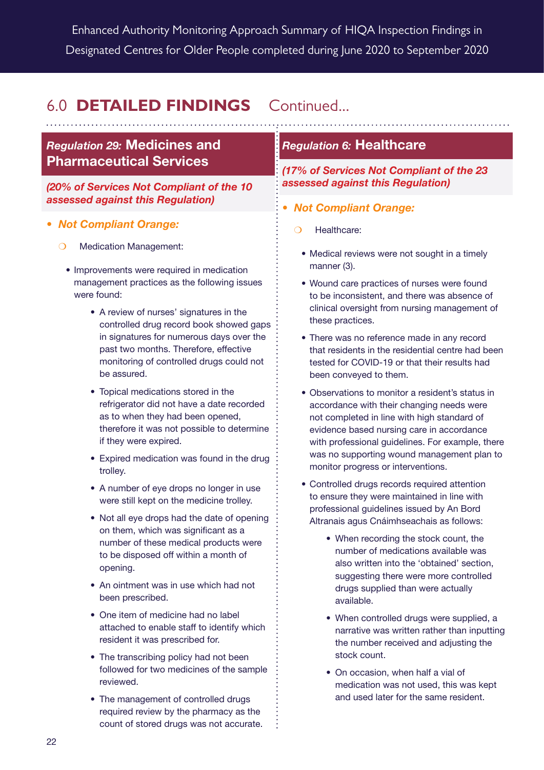### *Regulation 29:* Medicines and Pharmaceutical Services

*(20% of Services Not Compliant of the 10 assessed against this Regulation)*

- *• Not Compliant Orange:*
	- O Medication Management:
		- Improvements were required in medication management practices as the following issues were found:
			- A review of nurses' signatures in the controlled drug record book showed gaps in signatures for numerous days over the past two months. Therefore, effective monitoring of controlled drugs could not be assured.
			- Topical medications stored in the refrigerator did not have a date recorded as to when they had been opened, therefore it was not possible to determine if they were expired.
			- Expired medication was found in the drug trolley.
			- A number of eye drops no longer in use were still kept on the medicine trolley.
			- Not all eve drops had the date of opening on them, which was significant as a number of these medical products were to be disposed off within a month of opening.
			- An ointment was in use which had not been prescribed.
			- One item of medicine had no label attached to enable staff to identify which resident it was prescribed for.
			- The transcribing policy had not been followed for two medicines of the sample reviewed.
			- The management of controlled drugs required review by the pharmacy as the count of stored drugs was not accurate.

### 

### *Regulation 6:* Healthcare

### *(17% of Services Not Compliant of the 23 assessed against this Regulation)*

### *• Not Compliant Orange:*

- ❍ Healthcare:
	- Medical reviews were not sought in a timely manner (3).
	- Wound care practices of nurses were found to be inconsistent, and there was absence of clinical oversight from nursing management of these practices.
	- There was no reference made in any record that residents in the residential centre had been tested for COVID-19 or that their results had been conveyed to them.
	- Observations to monitor a resident's status in accordance with their changing needs were not completed in line with high standard of evidence based nursing care in accordance with professional quidelines. For example, there was no supporting wound management plan to monitor progress or interventions.
	- Controlled drugs records required attention to ensure they were maintained in line with professional guidelines issued by An Bord Altranais agus Cnáimhseachais as follows:
		- When recording the stock count, the number of medications available was also written into the 'obtained' section, suggesting there were more controlled drugs supplied than were actually available.
		- When controlled drugs were supplied, a narrative was written rather than inputting the number received and adjusting the stock count.
		- On occasion, when half a vial of medication was not used, this was kept and used later for the same resident.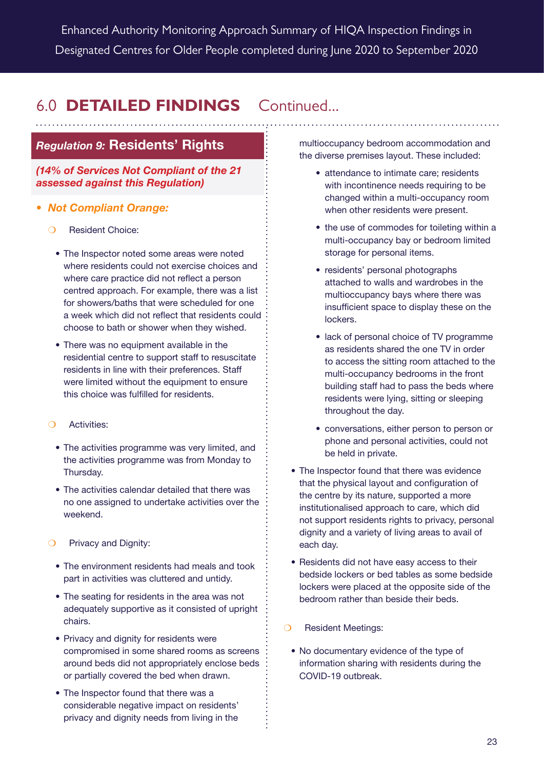### 6.0 **DETAILED FINDINGS** Continued...

### *Regulation 9:* Residents' Rights

*(14% of Services Not Compliant of the 21 assessed against this Regulation)*

- *• Not Compliant Orange:*
	- O Resident Choice:
		- The Inspector noted some areas were noted where residents could not exercise choices and where care practice did not reflect a person centred approach. For example, there was a list for showers/baths that were scheduled for one a week which did not reflect that residents could choose to bath or shower when they wished.
		- There was no equipment available in the residential centre to support staff to resuscitate residents in line with their preferences. Staff were limited without the equipment to ensure this choice was fulfilled for residents.
	- O Activities:
		- The activities programme was very limited, and the activities programme was from Monday to Thursday.
		- The activities calendar detailed that there was no one assigned to undertake activities over the weekend.
	- O Privacy and Dignity:
		- The environment residents had meals and took part in activities was cluttered and untidy.
		- The seating for residents in the area was not adequately supportive as it consisted of upright chairs.
		- Privacy and dignity for residents were compromised in some shared rooms as screens around beds did not appropriately enclose beds or partially covered the bed when drawn.
		- The Inspector found that there was a considerable negative impact on residents' privacy and dignity needs from living in the

multioccupancy bedroom accommodation and the diverse premises layout. These included:

- attendance to intimate care; residents with incontinence needs requiring to be changed within a multi-occupancy room when other residents were present.
- the use of commodes for toileting within a multi-occupancy bay or bedroom limited storage for personal items.
- residents' personal photographs attached to walls and wardrobes in the multioccupancy bays where there was insufficient space to display these on the lockers.
- lack of personal choice of TV programme as residents shared the one TV in order to access the sitting room attached to the multi-occupancy bedrooms in the front building staff had to pass the beds where residents were lying, sitting or sleeping throughout the day.
- conversations, either person to person or phone and personal activities, could not be held in private.
- The Inspector found that there was evidence that the physical layout and configuration of the centre by its nature, supported a more institutionalised approach to care, which did not support residents rights to privacy, personal dignity and a variety of living areas to avail of each day.
- Residents did not have easy access to their bedside lockers or bed tables as some bedside lockers were placed at the opposite side of the bedroom rather than beside their beds.
- O Resident Meetings:
	- No documentary evidence of the type of information sharing with residents during the COVID-19 outbreak.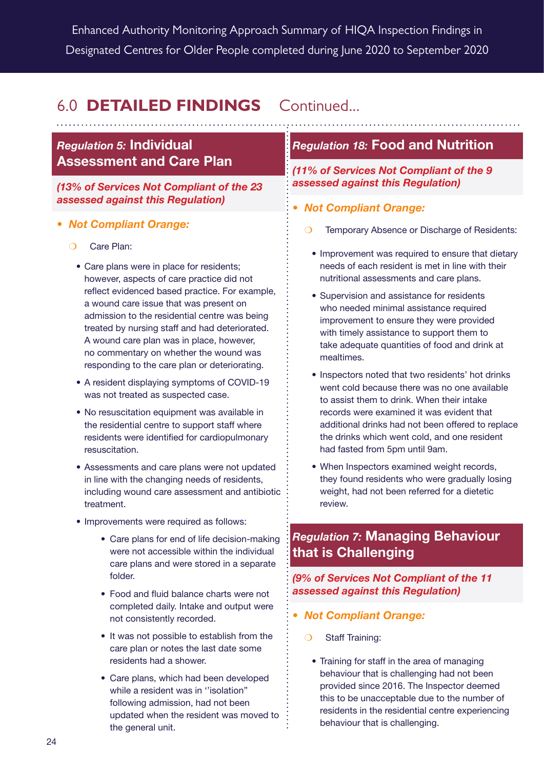### 6.0 **DETAILED FINDINGS** Continued...

### *Regulation 5:* Individual Assessment and Care Plan

*(13% of Services Not Compliant of the 23 assessed against this Regulation)*

- *• Not Compliant Orange:*
	- O Care Plan:
		- Care plans were in place for residents; however, aspects of care practice did not reflect evidenced based practice. For example, a wound care issue that was present on admission to the residential centre was being treated by nursing staff and had deteriorated. A wound care plan was in place, however, no commentary on whether the wound was responding to the care plan or deteriorating.
		- A resident displaying symptoms of COVID-19 was not treated as suspected case.
		- No resuscitation equipment was available in the residential centre to support staff where residents were identified for cardiopulmonary resuscitation.
		- Assessments and care plans were not updated in line with the changing needs of residents, including wound care assessment and antibiotic treatment.
		- Improvements were required as follows:
			- Care plans for end of life decision-making were not accessible within the individual care plans and were stored in a separate folder.
			- Food and fluid balance charts were not completed daily. Intake and output were not consistently recorded.
			- It was not possible to establish from the care plan or notes the last date some residents had a shower.
			- Care plans, which had been developed while a resident was in "isolation" following admission, had not been updated when the resident was moved to the general unit.

### *Regulation 18:* Food and Nutrition

*(11% of Services Not Compliant of the 9 assessed against this Regulation)*

- *• Not Compliant Orange:*
	- O Temporary Absence or Discharge of Residents:
		- Improvement was required to ensure that dietary needs of each resident is met in line with their nutritional assessments and care plans.
		- Supervision and assistance for residents who needed minimal assistance required improvement to ensure they were provided with timely assistance to support them to take adequate quantities of food and drink at mealtimes.
		- Inspectors noted that two residents' hot drinks went cold because there was no one available to assist them to drink. When their intake records were examined it was evident that additional drinks had not been offered to replace the drinks which went cold, and one resident had fasted from 5pm until 9am.
		- When Inspectors examined weight records, they found residents who were gradually losing weight, had not been referred for a dietetic review.

### *Regulation 7:* Managing Behaviour that is Challenging

### *(9% of Services Not Compliant of the 11 assessed against this Regulation)*

- *• Not Compliant Orange:*
	- ❍ Staff Training:
		- Training for staff in the area of managing behaviour that is challenging had not been provided since 2016. The Inspector deemed this to be unacceptable due to the number of residents in the residential centre experiencing behaviour that is challenging.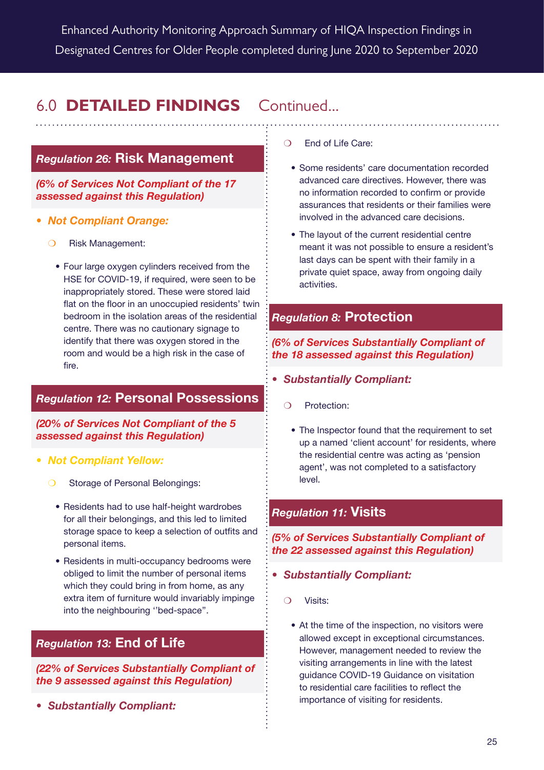### 6.0 **DETAILED FINDINGS** Continued...

### *Regulation 26:* Risk Management

*(6% of Services Not Compliant of the 17 assessed against this Regulation)*

- *• Not Compliant Orange:*
	- Risk Management:
	- Four large oxygen cylinders received from the HSE for COVID-19, if required, were seen to be inappropriately stored. These were stored laid flat on the floor in an unoccupied residents' twin bedroom in the isolation areas of the residential centre. There was no cautionary signage to identify that there was oxygen stored in the room and would be a high risk in the case of fire.

### *Regulation 12:* Personal Possessions

*(20% of Services Not Compliant of the 5 assessed against this Regulation)*

- *• Not Compliant Yellow:*
	- Storage of Personal Belongings:
	- Residents had to use half-height wardrobes for all their belongings, and this led to limited storage space to keep a selection of outfits and personal items.
	- Residents in multi-occupancy bedrooms were obliged to limit the number of personal items which they could bring in from home, as any extra item of furniture would invariably impinge into the neighbouring ''bed-space''.

### *Regulation 13:* End of Life

*(22% of Services Substantially Compliant of the 9 assessed against this Regulation)*

*• Substantially Compliant:*

- ❍ End of Life Care:
	- Some residents' care documentation recorded advanced care directives. However, there was no information recorded to confirm or provide assurances that residents or their families were involved in the advanced care decisions.

• The layout of the current residential centre meant it was not possible to ensure a resident's last days can be spent with their family in a private quiet space, away from ongoing daily activities.

### *Regulation 8:* Protection

*(6% of Services Substantially Compliant of the 18 assessed against this Regulation)*

- *• Substantially Compliant:*
	- O Protection:
		- The Inspector found that the requirement to set up a named 'client account' for residents, where the residential centre was acting as 'pension agent', was not completed to a satisfactory level.

### *Regulation 11:* Visits

*(5% of Services Substantially Compliant of the 22 assessed against this Regulation)*

- *• Substantially Compliant:*
	- ❍ Visits:
		- At the time of the inspection, no visitors were allowed except in exceptional circumstances. However, management needed to review the visiting arrangements in line with the latest guidance COVID-19 Guidance on visitation to residential care facilities to reflect the importance of visiting for residents.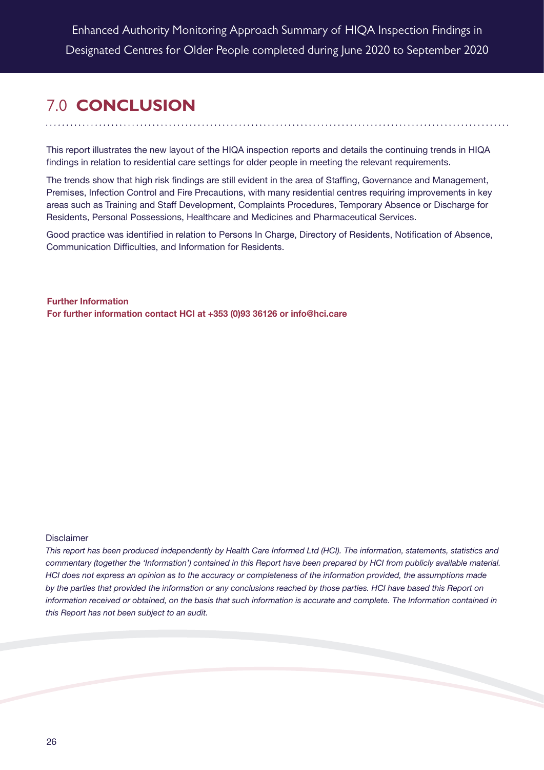### 7.0 **CONCLUSION**

This report illustrates the new layout of the HIQA inspection reports and details the continuing trends in HIQA findings in relation to residential care settings for older people in meeting the relevant requirements.

The trends show that high risk findings are still evident in the area of Staffing, Governance and Management, Premises, Infection Control and Fire Precautions, with many residential centres requiring improvements in key areas such as Training and Staff Development, Complaints Procedures, Temporary Absence or Discharge for Residents, Personal Possessions, Healthcare and Medicines and Pharmaceutical Services.

Good practice was identified in relation to Persons In Charge, Directory of Residents, Notification of Absence, Communication Difficulties, and Information for Residents.

Further Information For further information contact HCI at +353 (0)93 36126 or info@hci.care

### Disclaimer

*This report has been produced independently by Health Care Informed Ltd (HCI). The information, statements, statistics and commentary (together the 'Information') contained in this Report have been prepared by HCI from publicly available material. HCI does not express an opinion as to the accuracy or completeness of the information provided, the assumptions made by the parties that provided the information or any conclusions reached by those parties. HCI have based this Report on*  information received or obtained, on the basis that such information is accurate and complete. The Information contained in *this Report has not been subject to an audit.*